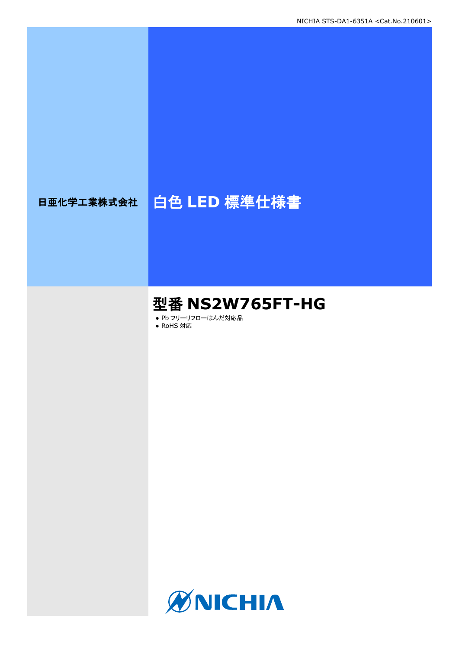# 日亜化学工業株式会社 | 白色 LED 標準仕様書

# 型番 **NS2W765FT-HG**

● Pb フリーリフローはんだ対応品

● RoHS 対応

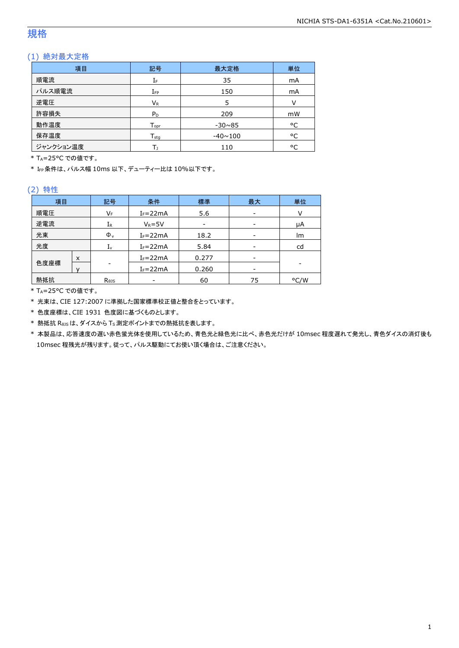### 規格

### (1) 絶対最大定格

| 項目        | 記号               | 最大定格           | 単位 |
|-----------|------------------|----------------|----|
| 順電流       | IF               | 35             | mA |
| パルス順電流    | $I_{FP}$         | 150            | mA |
| 逆電圧       | $V_{R}$          | 5              | V  |
| 許容損失      | $P_D$            | 209            | mW |
| 動作温度      | $T_{\text{opt}}$ | $-30\nu 85$    | °C |
| 保存温度      | $T_{\text{stg}}$ | $-40 \sim 100$ | °C |
| ジャンクション温度 |                  | 110            | °C |

\* TA=25°C での値です。

\* IFP条件は、パルス幅 10ms 以下、デューティー比は 10%以下です。

### (2) 特性

| 項目        |   | 記号                         | 条件<br>標準<br>最大       |       | 単位 |      |  |
|-----------|---|----------------------------|----------------------|-------|----|------|--|
| 順電圧       |   | VF                         | $I_F = 22mA$         | 5.6   | -  | v    |  |
| 逆電流<br>IR |   |                            | $V_R = 5V$           |       |    | μA   |  |
| 光束        |   | $\Phi_{v}$                 | $I_F = 22mA$         | 18.2  | -  | lm   |  |
| 光度        |   | Ιv                         | 5.84<br>$I_F = 22mA$ |       | cd |      |  |
|           | X |                            | $I_F = 22mA$         | 0.277 | -  |      |  |
| 色度座標      |   |                            | $I_F = 22mA$         | 0.260 | -  |      |  |
| 熱抵抗       |   | $R_{\theta}$ <sub>15</sub> |                      | 60    | 75 | °C/W |  |

\* TA=25°C での値です。

\* 光束は、CIE 127:2007 に準拠した国家標準校正値と整合をとっています。

\* 色度座標は、CIE 1931 色度図に基づくものとします。

\* 熱抵抗 RθJSは、ダイスから TS測定ポイントまでの熱抵抗を表します。

\* 本製品は、応答速度の遅い赤色蛍光体を使用しているため、青色光と緑色光に比べ、赤色光だけが 10msec 程度遅れて発光し、青色ダイスの消灯後も 10msec 程残光が残ります。従って、パルス駆動にてお使い頂く場合は、ご注意ください。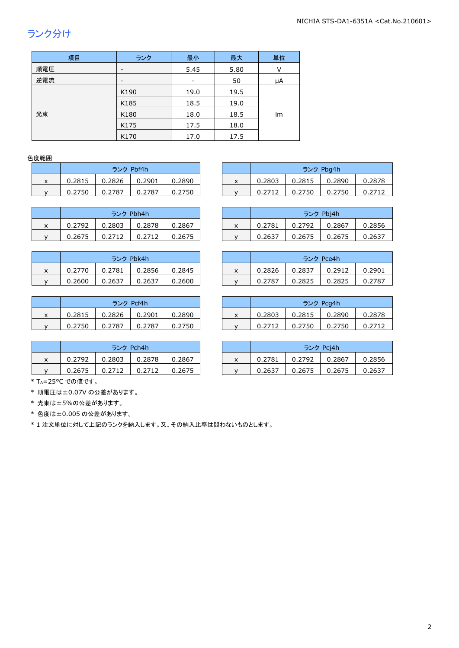# ランク分け

| 項目  | ランク                      | 最小                           | 最大   | 単位 |  |
|-----|--------------------------|------------------------------|------|----|--|
| 順電圧 | $\overline{\phantom{a}}$ | 5.45                         | 5.80 | v  |  |
| 逆電流 | $\overline{\phantom{a}}$ | $\qquad \qquad \blacksquare$ | 50   | μA |  |
|     | K190                     | 19.0                         | 19.5 |    |  |
|     | K185                     | 18.5                         | 19.0 |    |  |
| 光束  | K180                     | 18.0                         | 18.5 | lm |  |
|     | K175                     | 17.5                         | 18.0 |    |  |
|     | K170                     | 17.0                         | 17.5 |    |  |

### 色度範囲

|   | ランク Pbf4h |        |        |        |  |  |  |  |  |
|---|-----------|--------|--------|--------|--|--|--|--|--|
| x | 0.2815    | 0.2826 | 0.2901 | 0.2890 |  |  |  |  |  |
|   | 0.2750    | 0.2787 | 0.2787 | 0.2750 |  |  |  |  |  |

| ランク Pbh4h |        |        |        |  |  |  |  |  |
|-----------|--------|--------|--------|--|--|--|--|--|
| 0.2792    | 0.2803 | 0.2878 | 0.2867 |  |  |  |  |  |
| 0.2675    | 0.2712 | 0.2712 | 0.2675 |  |  |  |  |  |

| ランク Pbk4h |        |        |        |  |  |  |  |  |
|-----------|--------|--------|--------|--|--|--|--|--|
| 0.2770    | 0.2781 | 0.2856 | 0.2845 |  |  |  |  |  |
| 0.2600    | 0.2637 | 0.2637 | 0.2600 |  |  |  |  |  |

|   | ランク Pcf4h |        |        |        |  |  |  |  |  |
|---|-----------|--------|--------|--------|--|--|--|--|--|
| x | 0.2815    | 0.2826 | 0.2901 | 0.2890 |  |  |  |  |  |
|   | 0.2750    | 0.2787 | 0.2787 | 0.2750 |  |  |  |  |  |

| ランク Pch4h |        |        |        |  |  |  |  |  |
|-----------|--------|--------|--------|--|--|--|--|--|
| 0.2792    | 0.2803 | 0.2878 | 0.2867 |  |  |  |  |  |
| 0.2675    | 0.2712 | 0.2712 | 0.2675 |  |  |  |  |  |

|   |        | ランク Pbf4h |        |        |   | ランク Pbg4h<br>0.2803<br>0.2890<br>0.2815 |        |        |        |
|---|--------|-----------|--------|--------|---|-----------------------------------------|--------|--------|--------|
| ^ | 0.2815 | 0.2826    | 0.2901 | 0.2890 | x |                                         |        |        | 0.2878 |
|   | 0.2750 | 0.2787    | 0.2787 | 0.2750 |   | 0.2712                                  | 0.2750 | 0.2750 |        |
|   |        |           |        |        |   |                                         |        |        |        |

|   |        | ランク Pbh4h |        |        |        | ランク Pbi4h<br>0.2781<br>0.2792<br>0.2867 |        |        |        |
|---|--------|-----------|--------|--------|--------|-----------------------------------------|--------|--------|--------|
| x | 0.2792 | 0.2803    | 0.2878 | 0.2867 | $\sim$ |                                         |        |        | 0.2856 |
|   | 0.2675 | 0.2712    |        | 0.2675 |        | 0.2637                                  | 0.2675 | 0.2675 | 0.2637 |

|   |        | ランク Pbk4h |        |        |  |        |        | ランク Pce4h |        |
|---|--------|-----------|--------|--------|--|--------|--------|-----------|--------|
| x | 0.2770 | 0.2781    | 0.2856 | 0.2845 |  | 0.2826 | 0.2837 | 0.2912    | 0.2901 |
|   | 0.2600 | 0.2637    | 0.2637 | 0.2600 |  | 0.2787 | 0.2825 | 0.2825    | 0.2787 |

|   |        | ランク Pcf4h |        |        |   |        | ランク Pcg4h |        |        |
|---|--------|-----------|--------|--------|---|--------|-----------|--------|--------|
| x | 0.2815 | 0.2826    | 0.2901 | 0.2890 | ́ | 0.2803 | 0.2815    | 0.2890 | 0.2878 |
|   | 0.2750 | 0.2787    | 0.2787 | 0.2750 |   | 0.2712 | 0.2750    | 0.2750 |        |

|   | ランク Pch4h |        |        |        | ランク Pcj4h |        |        |        |        |
|---|-----------|--------|--------|--------|-----------|--------|--------|--------|--------|
| x | 0.2792    | 0.2803 | 0.2878 | 0.2867 | ́         | 0.2781 | 0.2792 | 0.2867 | 0.2856 |
|   | 0.2675    | 0.2712 | 0.2712 | 0.2675 |           | 0.2637 | 0.2675 | 0.2675 | 0.2637 |

\* TA=25°C での値です。

\* 順電圧は±0.07V の公差があります。

\* 光束は±5%の公差があります。

\* 色度は±0.005 の公差があります。

\* 1 注文単位に対して上記のランクを納入します。又、その納入比率は問わないものとします。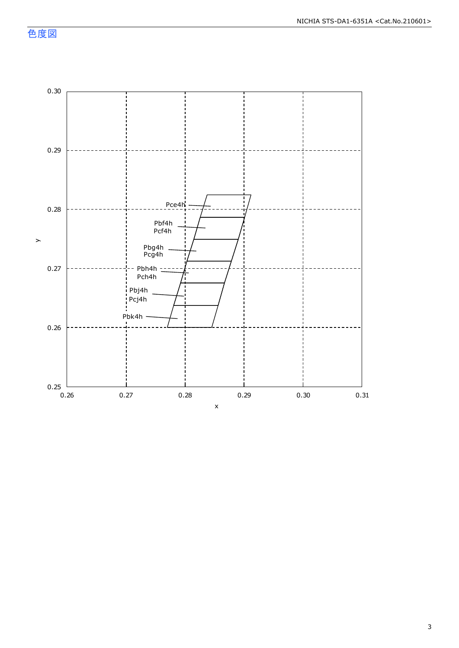色度図

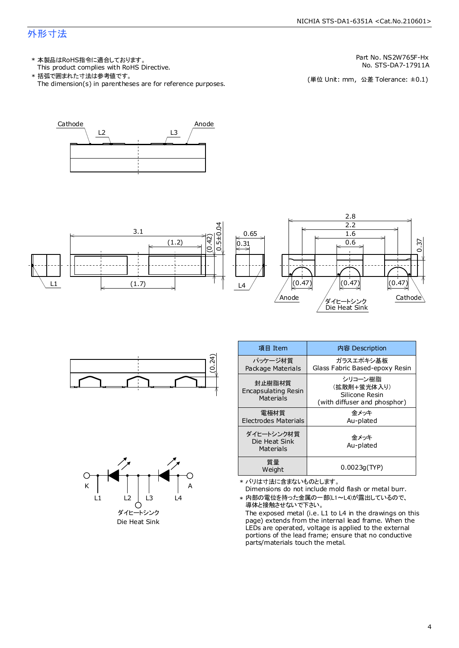### 外形寸法

- This product complies with RoHS Directive. 本製品はRoHS指令に適合しております。 \*
- The dimension(s) in parentheses are for reference purposes. 括弧で囲まれた寸法は参考値です。 \*

No. STS-DA7-17911A Part No. NS2W765F-Hx

(単位 Unit: mm) (単位 Unit: mm, 公差 Tolerance: ±0.1)











| 項目 Item                                    | 内容 Description                                                           |  |  |
|--------------------------------------------|--------------------------------------------------------------------------|--|--|
| パッケージ材質<br>Package Materials               | ガラスエポキシ基板<br>Glass Fabric Based-epoxy Resin                              |  |  |
| 封止樹脂材質<br>Encapsulating Resin<br>Materials | シリコーン樹脂<br>(拡散剤+蛍光体入り)<br>Silicone Resin<br>(with diffuser and phosphor) |  |  |
| 電極材質<br>Electrodes Materials               | 金メッキ<br>Au-plated                                                        |  |  |
| ダイヒートシンク材質<br>Die Heat Sink<br>Materials   | 金メッキ<br>Au-plated                                                        |  |  |
| 質量<br>Weight                               | 0.0023q(TYP)                                                             |  |  |

- \* バリは寸法に含まないものとします。
- Dimensions do not include mold flash or metal burr.
- \* 内部の電位を持った金属の一部(L1~L4)が露出しているので、 導体と接触させないで下さい。

The exposed metal (i.e. L1 to L4 in the drawings on this page) extends from the internal lead frame. When the LEDs are operated, voltage is applied to the external portions of the lead frame; ensure that no conductive parts/materials touch the metal.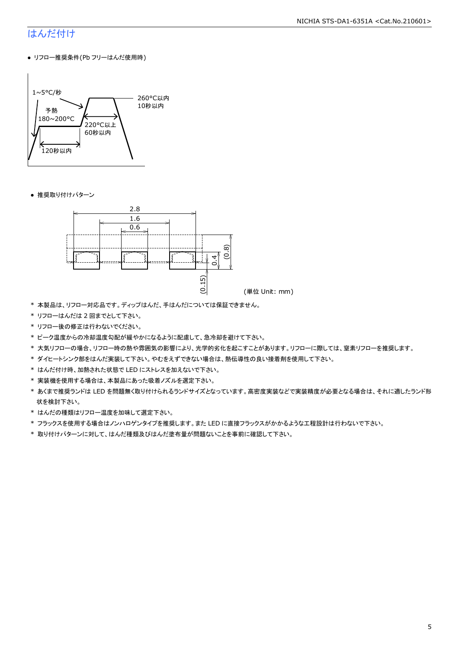## はんだ付け

● リフロー推奨条件(Pb フリーはんだ使用時)



● 推奨取り付けパターン



- \* 本製品は、リフロー対応品です。ディップはんだ、手はんだについては保証できません。
- \* リフローはんだは 2 回までとして下さい。
- \* リフロー後の修正は行わないでください。
- \* ピーク温度からの冷却温度勾配が緩やかになるように配慮して、急冷却を避けて下さい。
- \* 大気リフローの場合、リフロー時の熱や雰囲気の影響により、光学的劣化を起こすことがあります。リフローに際しては、窒素リフローを推奨します。
- \* ダイヒートシンク部をはんだ実装して下さい。やむをえずできない場合は、熱伝導性の良い接着剤を使用して下さい。
- \* はんだ付け時、加熱された状態で LED にストレスを加えないで下さい。
- \* 実装機を使用する場合は、本製品にあった吸着ノズルを選定下さい。
- \* あくまで推奨ランドは LED を問題無く取り付けられるランドサイズとなっています。高密度実装などで実装精度が必要となる場合は、それに適したランド形 状を検討下さい。
- \* はんだの種類はリフロー温度を加味して選定下さい。
- \* フラックスを使用する場合はノンハロゲンタイプを推奨します。また LED に直接フラックスがかかるような工程設計は行わないで下さい。
- \* 取り付けパターンに対して、はんだ種類及びはんだ塗布量が問題ないことを事前に確認して下さい。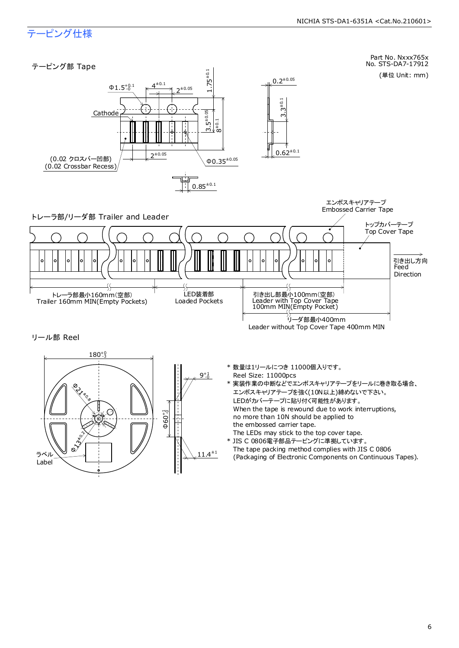# テーピング仕様

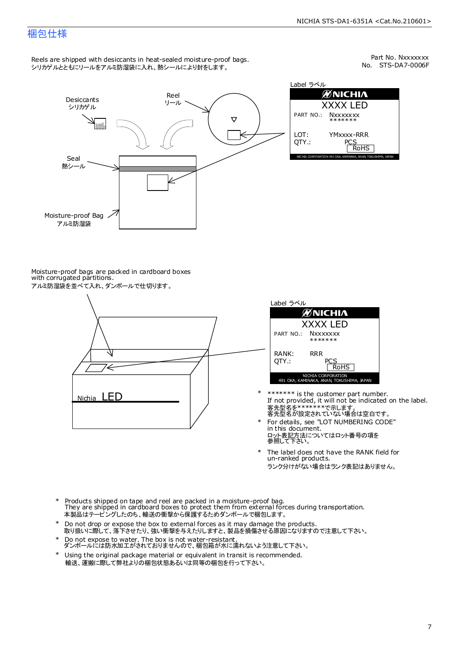### 梱包仕様

Reels are shipped with desiccants in heat-sealed moisture-proof bags. シリカゲルとともにリールをアルミ防湿袋に入れ、熱シールにより封をします。

No. STS-DA7-0006F Part No. Nxxxxxxx



Moisture-proof bags are packed in cardboard boxes with corrugated partitions. アルミ防湿袋を並べて入れ、ダンボールで仕切ります。





- 客先型名を\*\*\*\*\*\*\*\*で示します。<br>客先型名が設定されていない場合は空白です。 If not provided, it will not be indicated on the label. \*\*\*\*\*\*\* is the customer part number.
- For details, see "LOT NUMBERING CODE" in this document. ロット表記方法についてはロット番号の項を<br>参照して下さい。 \*
- The label does not have the RANK field for un-ranked products. ランク分けがない場合はランク表記はありません。 \*
- Products shipped on tape and reel are packed in a moisture-proof bag. They are shipped in cardboard boxes to protect them from external forces during transportation. 本製品はテーピングしたのち、輸送の衝撃から保護するためダンボールで梱包します。 \*
- Do not drop or expose the box to external forces as it may damage the products. 取り扱いに際して、落下させたり、強い衝撃を与えたりしますと、製品を損傷させる原因になりますので注意して下さい。 \*
- Do not expose to water. The box is not water-resistant. ダンボールには防水加工がされておりませんので、梱包箱が水に濡れないよう注意して下さい。 \*
- \* Using the original package material or equivalent in transit is recommended. 輸送、運搬に際して弊社よりの梱包状態あるいは同等の梱包を行って下さい。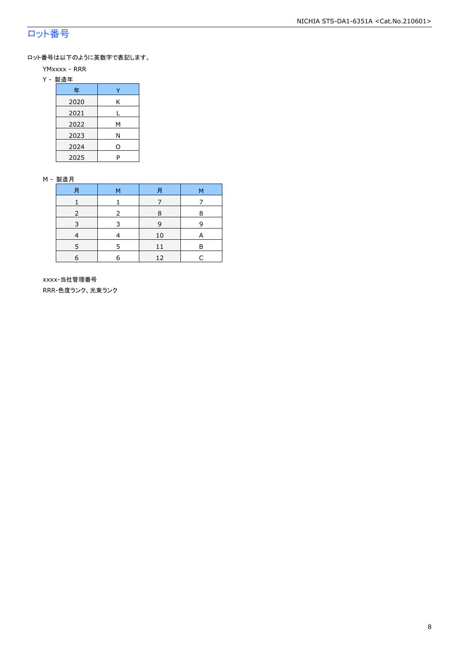# ロット番号

ロット番号は以下のように英数字で表記します。

- YMxxxx RRR
- Y 製造年

| 年    |   |
|------|---|
| 2020 | Κ |
| 2021 |   |
| 2022 | м |
| 2023 | Ν |
| 2024 | 0 |
| 2025 | P |

#### M - 製造月

| F          | M | F  | M |
|------------|---|----|---|
|            |   |    |   |
|            |   | 8  | 8 |
|            |   | q  |   |
|            |   | 10 | А |
|            | 5 | 11 | R |
| $\epsilon$ | 6 | 12 |   |

 xxxx-当社管理番号 RRR-色度ランク、光束ランク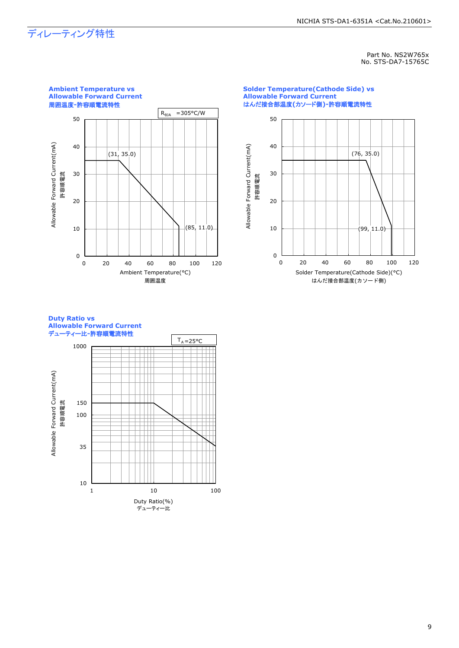# ディレーティング特性

Part No. NS2W765x No. STS-DA7-15765C



#### **Solder Temperature(Cathode Side) vs Allowable Forward Current** はんだ接合部温度**(**カソード側**)-**許容順電流特性



#### **Duty Ratio vs Allowable Forward Current** デューティー比**-**許容順電流特性

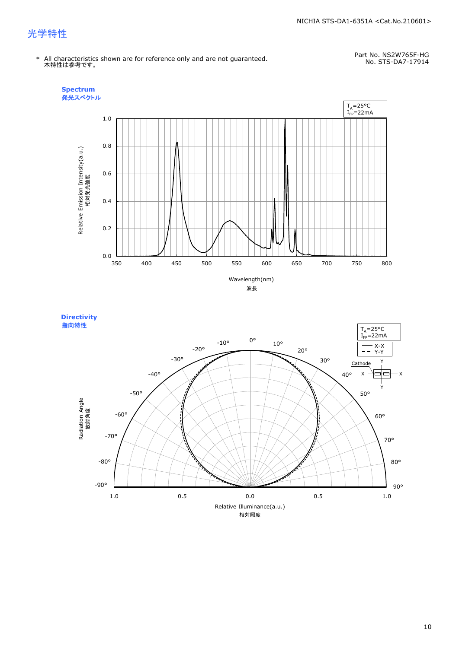#### NICHIA STS-DA1-6351A <Cat.No.210601>

# 光学特性

No. STS-DA7-17914 \* All characteristics shown are for reference only and are not guaranteed. 本特性は参考です。

Part No. NS2W765F-HG



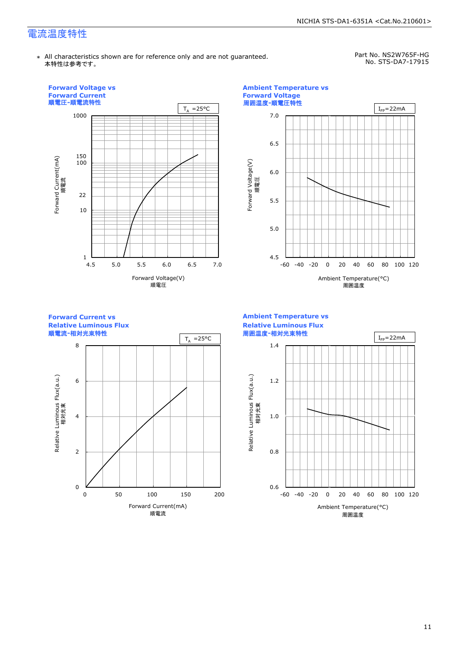# 電流温度特性

\* All characteristics shown are for reference only and are not guaranteed. 本特性は参考です。

Part No. NS2W765F-HG No. STS-DA7-17915

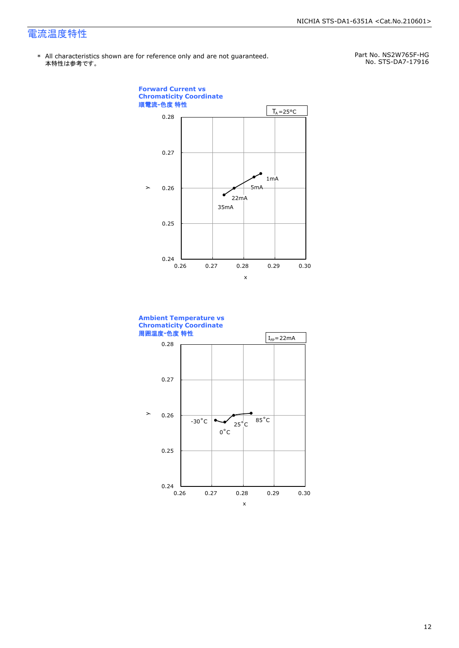# 電流温度特性

\* All characteristics shown are for reference only and are not guaranteed.本特性は参考です。

Part No. NS2W765F-HG No. STS-DA7-17916



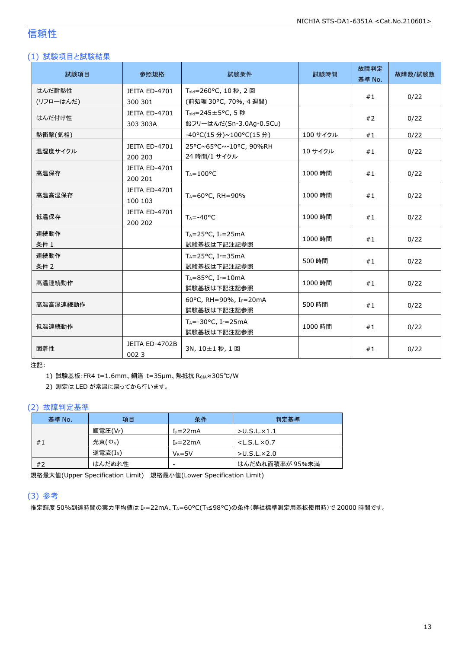### 信頼性

### (1) 試験項目と試験結果

| 試験項目      | 参照規格                                                      | 試験条件                                 | 試験時間     | 故障判定<br>基準 No. | 故障数/試験数 |
|-----------|-----------------------------------------------------------|--------------------------------------|----------|----------------|---------|
| はんだ耐熱性    | JEITA ED-4701                                             | T <sub>sld</sub> =260°C, 10秒, 2回     |          | #1             | 0/22    |
| (リフローはんだ) | 300 301                                                   | (前処理 30°C, 70%, 4 週間)                |          |                |         |
| はんだ付け性    | JEITA ED-4701                                             | T <sub>sld</sub> =245±5°C, 5秒        |          | #2             | 0/22    |
|           | 303 303A                                                  | 鉛フリーはんだ(Sn-3.0Ag-0.5Cu)              |          |                |         |
| 熱衝撃(気相)   |                                                           | -40°C(15分)~100°C(15分)                | 100 サイクル | #1             | 0/22    |
| 温湿度サイクル   | JEITA ED-4701                                             | 25°C~65°C~-10°C, 90%RH<br>10 サイクル    |          |                |         |
|           | 200 203                                                   | 24 時間/1 サイクル                         |          | #1             | 0/22    |
| 高温保存      | JEITA ED-4701                                             | $T_A = 100$ °C                       | 1000 時間  | #1             | 0/22    |
|           | 200 201                                                   |                                      |          |                |         |
| 高温高湿保存    | JEITA ED-4701                                             |                                      | 1000 時間  | #1             | 0/22    |
|           | 100 103                                                   | TA=60°C, RH=90%                      |          |                |         |
| 低温保存      | JEITA ED-4701                                             | $T_A = -40$ °C                       | 1000 時間  | #1             | 0/22    |
|           | 200 202                                                   |                                      |          |                |         |
| 連続動作      |                                                           | $T_A = 25$ °C, I <sub>F</sub> =25mA  | 1000 時間  | #1             | 0/22    |
| 条件 1      |                                                           | 試験基板は下記注記参照                          |          |                |         |
| 連続動作      | $T_A = 25^{\circ}C$ , I <sub>F</sub> =35mA<br>試験基板は下記注記参照 |                                      | 500 時間   | #1             | 0/22    |
| 条件 2      |                                                           |                                      |          |                |         |
| 高温連続動作    |                                                           | $T_A = 85$ °C, I <sub>F</sub> =10mA  | 1000 時間  | #1             | 0/22    |
|           |                                                           | 試験基板は下記注記参照                          |          |                |         |
| 高温高湿連続動作  |                                                           | 60°C, RH=90%, IF=20mA                | 500 時間   |                |         |
|           |                                                           | 試験基板は下記注記参照                          |          | #1             | 0/22    |
| 低温連続動作    |                                                           | $T_A = -30$ °C, I <sub>F</sub> =25mA | 1000 時間  | #1             |         |
|           |                                                           | 試験基板は下記注記参照                          |          |                | 0/22    |
| 固着性       | JEITA ED-4702B                                            | 3N, 10±1秒, 1回                        |          | #1             |         |
|           | 0023                                                      |                                      |          |                | 0/22    |

注記:

1) 試験基板:FR4 t=1.6mm、銅箔 t=35μm、熱抵抗 RθJA≈305℃/W

2) 測定は LED が常温に戻ってから行います。

### (2) 故障判定基準

| 基準 No. | 項目                 | 条件                       | 判定基準                    |
|--------|--------------------|--------------------------|-------------------------|
|        | 順電圧(VF)            | $I_F = 22mA$             | $>$ U.S.L. $\times$ 1.1 |
| #1     | 光束( $\Phi_{\nu}$ ) | $I_F = 22mA$             | $<$ L.S.L. $\times$ 0.7 |
|        | 逆電流(IR)            | $V_R = 5V$               | $>$ U.S.L. $\times$ 2.0 |
| #2     | はんだぬれ性             | $\overline{\phantom{a}}$ | はんだぬれ面積率が 95%未満         |

規格最大値(Upper Specification Limit) 規格最小値(Lower Specification Limit)

### (3) 参考

推定輝度 50%到達時間の実力平均値は IF=22mA、TA=60°C(TJ≤98°C)の条件(弊社標準測定用基板使用時)で 20000 時間です。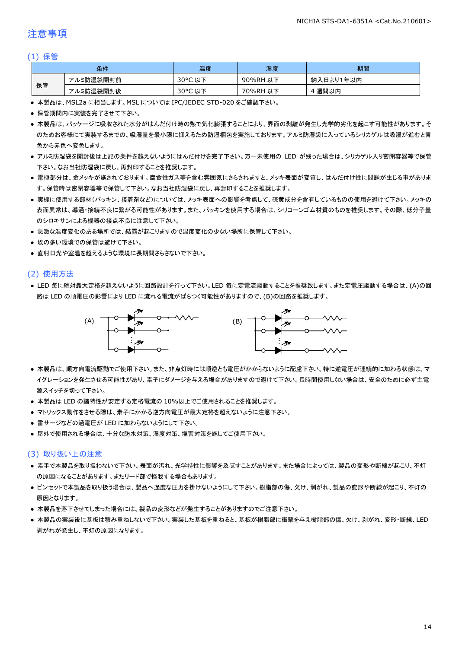### 注意事項

#### (1) 保管

| 条件 |           | 温度                    | 湿度       | 期間        |
|----|-----------|-----------------------|----------|-----------|
| 保管 | アルミ防湿袋開封前 | $30^{\circ}$ C<br>こ以下 | 90%RH 以下 | 納入日より1年以内 |
|    | アルミ防湿袋開封後 | 30°C<br>,以下<br>֊      | 70%RH 以下 | 週間以内      |

● 本製品は、MSL2a に相当します。MSL については IPC/JEDEC STD-020 をご確認下さい。

- 保管期間内に実装を完了させて下さい。
- 本製品は、パッケージに吸収された水分がはんだ付け時の熱で気化膨張することにより、界面の剥離が発生し光学的劣化を起こす可能性があります。そ のためお客様にて実装するまでの、吸湿量を最小限に抑えるため防湿梱包を実施しております。アルミ防湿袋に入っているシリカゲルは吸湿が進むと青 色から赤色へ変色します。
- アルミ防湿袋を開封後は上記の条件を越えないようにはんだ付けを完了下さい。万一未使用の LED が残った場合は、シリカゲル入り密閉容器等で保管 下さい。なお当社防湿袋に戻し、再封印することを推奨します。
- 電極部分は、金メッキが施されております。腐食性ガス等を含む雰囲気にさらされますと、メッキ表面が変質し、はんだ付け性に問題が生じる事がありま す。保管時は密閉容器等で保管して下さい。なお当社防湿袋に戻し、再封印することを推奨します。
- 実機に使用する部材(パッキン、接着剤など)については、メッキ表面への影響を考慮して、硫黄成分を含有しているものの使用を避けて下さい。メッキの 表面異常は、導通・接続不良に繋がる可能性があります。また、パッキンを使用する場合は、シリコーンゴム材質のものを推奨します。その際、低分子量 のシロキサンによる機器の接点不良に注意して下さい。
- 急激な温度変化のある場所では、結露が起こりますので温度変化の少ない場所に保管して下さい。
- 埃の多い環境での保管は避けて下さい。
- 直射日光や室温を超えるような環境に長期間さらさないで下さい。

### (2) 使用方法

● LED 毎に絶対最大定格を超えないように回路設計を行って下さい。LED 毎に定電流駆動することを推奨致します。また定電圧駆動する場合は、(A)の回 路は LED の順電圧の影響により LED に流れる電流がばらつく可能性がありますので、(B)の回路を推奨します。



- 本製品は、順方向電流駆動でご使用下さい。また、非点灯時には順逆とも電圧がかからないように配慮下さい。特に逆電圧が連続的に加わる状態は、マ イグレーションを発生させる可能性があり、素子にダメージを与える場合がありますので避けて下さい。長時間使用しない場合は、安全のために必ず主電 源スイッチを切って下さい。
- 本製品は LED の諸特性が安定する定格電流の 10%以上でご使用されることを推奨します。
- マトリックス動作をさせる際は、素子にかかる逆方向電圧が最大定格を超えないように注意下さい。
- 雷サージなどの過電圧が LED に加わらないようにして下さい。
- 屋外で使用される場合は、十分な防水対策、湿度対策、塩害対策を施してご使用下さい。

#### (3) 取り扱い上の注意

- 素手で本製品を取り扱わないで下さい。表面が汚れ、光学特性に影響を及ぼすことがあります。また場合によっては、製品の変形や断線が起こり、不灯 の原因になることがあります。またリード部で怪我する場合もあります。
- ピンセットで本製品を取り扱う場合は、製品へ過度な圧力を掛けないようにして下さい。樹脂部の傷、欠け、剥がれ、製品の変形や断線が起こり、不灯の 原因となります。
- 本製品を落下させてしまった場合には、製品の変形などが発生することがありますのでご注意下さい。
- 本製品の実装後に基板は積み重ねしないで下さい。実装した基板を重ねると、基板が樹脂部に衝撃を与え樹脂部の傷、欠け、剥がれ、変形・断線、LED 剥がれが発生し、不灯の原因になります。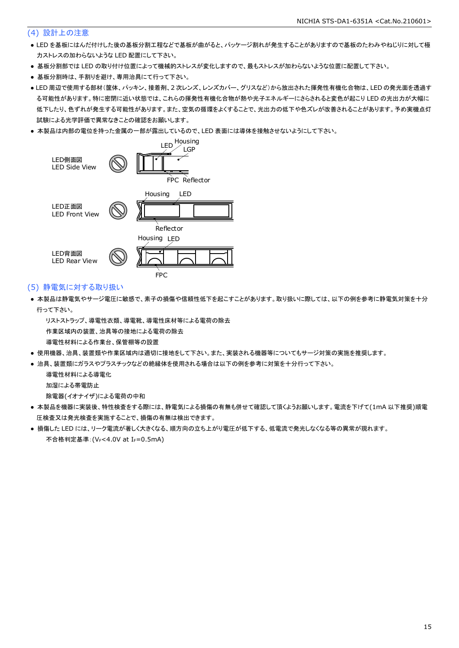### (4) 設計上の注意

- LED を基板にはんだ付けした後の基板分割工程などで基板が曲がると、パッケージ割れが発生することがありますので基板のたわみやねじりに対して極 力ストレスの加わらないような LED 配置にして下さい。
- 基板分割部では LED の取り付け位置によって機械的ストレスが変化しますので、最もストレスが加わらないような位置に配置して下さい。
- 基板分割時は、手割りを避け、専用治具にて行って下さい。
- LED 周辺で使用する部材(筐体、パッキン、接着剤、2 次レンズ、レンズカバー、グリスなど)から放出された揮発性有機化合物は、LED の発光面を透過す る可能性があります。特に密閉に近い状態では、これらの揮発性有機化合物が熱や光子エネルギーにさらされると変色が起こり LED の光出力が大幅に 低下したり、色ずれが発生する可能性があります。また、空気の循環をよくすることで、光出力の低下や色ズレが改善されることがあります。予め実機点灯 試験による光学評価で異常なきことの確認をお願いします。
- 本製品は内部の電位を持った金属の一部が露出しているので、LED 表面には導体を接触させないようにして下さい。



### (5) 静電気に対する取り扱い

● 本製品は静電気やサージ電圧に敏感で、素子の損傷や信頼性低下を起こすことがあります。取り扱いに際しては、以下の例を参考に静電気対策を十分 行って下さい。

 リストストラップ、導電性衣類、導電靴、導電性床材等による電荷の除去 作業区域内の装置、治具等の接地による電荷の除去 導電性材料による作業台、保管棚等の設置

- 使用機器、治具、装置類や作業区域内は適切に接地をして下さい。また、実装される機器等についてもサージ対策の実施を推奨します。
- 治具、装置類にガラスやプラスチックなどの絶縁体を使用される場合は以下の例を参考に対策を十分行って下さい。

 導電性材料による導電化 加湿による帯電防止

除電器(イオナイザ)による電荷の中和

- 本製品を機器に実装後、特性検査をする際には、静電気による損傷の有無も併せて確認して頂くようお願いします。電流を下げて(1mA 以下推奨)順電 圧検査又は発光検査を実施することで、損傷の有無は検出できます。
- 損傷した LED には、リーク電流が著しく大きくなる、順方向の立ち上がり電圧が低下する、低電流で発光しなくなる等の異常が現れます。 不合格判定基準:(VF<4.0V at IF=0.5mA)